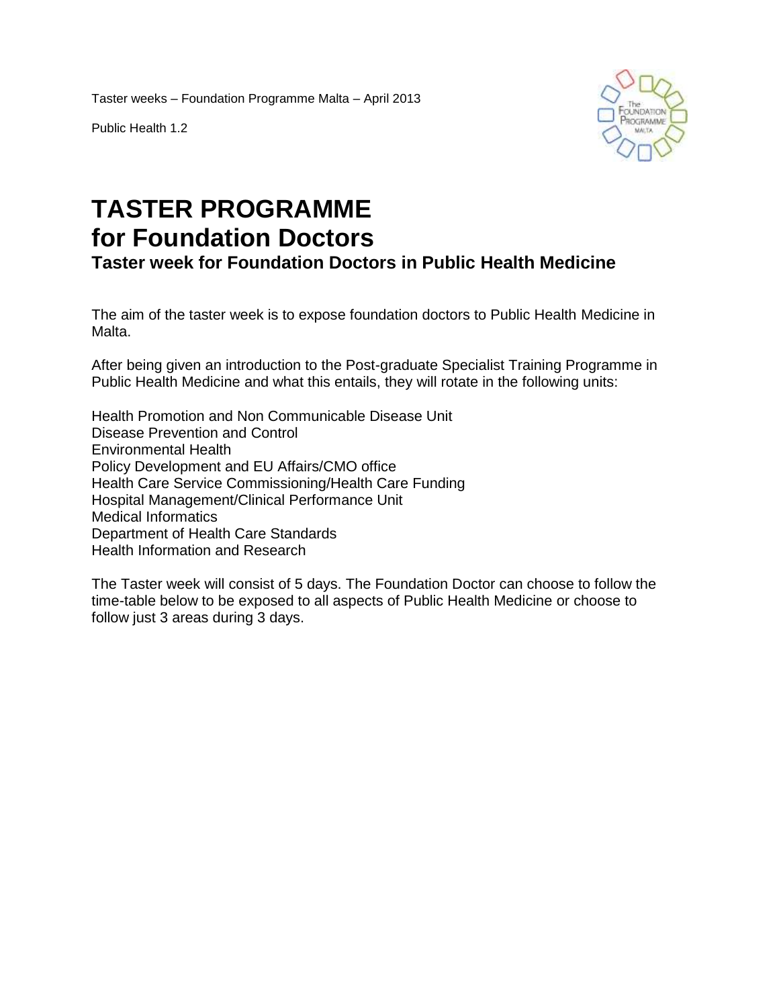Taster weeks – Foundation Programme Malta – April 2013

Public Health 1.2



## **TASTER PROGRAMME for Foundation Doctors**

**Taster week for Foundation Doctors in Public Health Medicine**

The aim of the taster week is to expose foundation doctors to Public Health Medicine in Malta.

After being given an introduction to the Post-graduate Specialist Training Programme in Public Health Medicine and what this entails, they will rotate in the following units:

Health Promotion and Non Communicable Disease Unit Disease Prevention and Control Environmental Health Policy Development and EU Affairs/CMO office Health Care Service Commissioning/Health Care Funding Hospital Management/Clinical Performance Unit Medical Informatics Department of Health Care Standards Health Information and Research

The Taster week will consist of 5 days. The Foundation Doctor can choose to follow the time-table below to be exposed to all aspects of Public Health Medicine or choose to follow just 3 areas during 3 days.